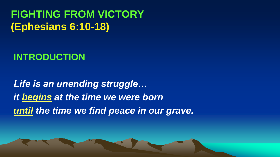**FIGHTING FROM VICTORY (Ephesians 6:10-18)** 

## **INTRODUCTION**

*Life is an unending struggle… it begins at the time we were born until the time we find peace in our grave.*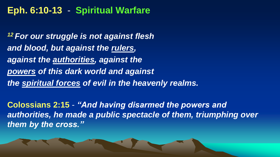### **Eph. 6:10-13** - **Spiritual Warfare**

*<sup>12</sup> For our struggle is not against flesh and blood, but against the rulers, against the authorities, against the powers of this dark world and against the spiritual forces of evil in the heavenly realms.*

**Colossians 2:15** - *"And having disarmed the powers and authorities, he made a public spectacle of them, triumphing over them by the cross."*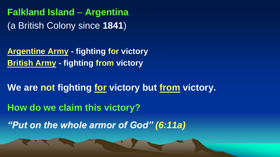**Falkland Island** – **Argentina** (a British Colony since **1841**)

**Argentine Army - fighting for victory British Army - fighting from victory** 

**We are not fighting for victory but from victory. How do we claim this victory?**

*"Put on the whole armor of God" (6:11a)*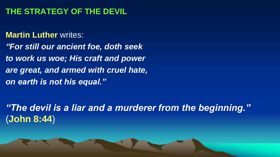#### **THE STRATEGY OF THE DEVIL**

**Martin Luther** writes: *"For still our ancient foe, doth seek to work us woe; His craft and power are great, and armed with cruel hate, on earth is not his equal."*

*"The devil is a liar and a murderer from the beginning."* (**John 8:44**)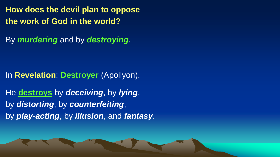**How does the devil plan to oppose the work of God in the world?**

By *murdering* and by *destroying*.

In **Revelation**: **Destroyer** (Apollyon).

He **destroys** by *deceiving*, by *lying*, by *distorting*, by *counterfeiting*, by *play-acting*, by *illusion*, and *fantasy*.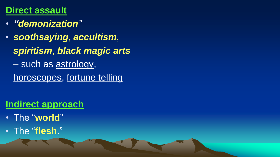### **Direct assault**

- *"demonization"*
- *soothsaying*, *accultism*, *spiritism*, *black magic arts* – such as astrology, horoscopes, fortune telling

- **Indirect approach**
- The "**world**"
- The "**flesh**."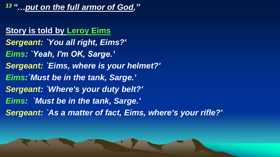*<sup>13</sup> "…put on the full armor of God,"* 

#### **Story is told by Leroy Eims**

*Sergeant: `You all right, Eims?' Eims: `Yeah, I'm OK, Sarge.' Sergeant: `Eims, where is your helmet?' Eims:`Must be in the tank, Sarge.' Sergeant: `Where's your duty belt?' Eims: `Must be in the tank, Sarge.' Sergeant: `As a matter of fact, Eims, where's your rifle?'*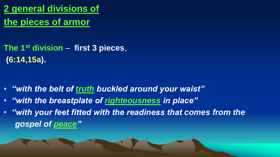**2 general divisions of the pieces of armor**

**The 1st division** – **first 3 pieces**, **(6:14,15a).**

- *"with the belt of truth buckled around your waist"*
- *"with the breastplate of righteousness in place"*
- *"with your feet fitted with the readiness that comes from the gospel of peace"*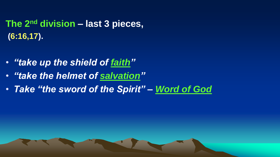## **The 2 nd division – last 3 pieces, (6:16,17).**

- *"take up the shield of faith"*
- *"take the helmet of salvation"*
- *Take "the sword of the Spirit" – Word of God*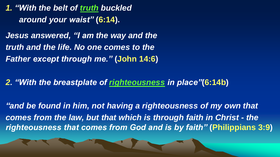*1. "With the belt of truth buckled around your waist"* **(6:14).**

*Jesus answered, "I am the way and the truth and the life. No one comes to the Father except through me."* **(John 14:6)**

*2. "With the breastplate of righteousness in place"***(6:14b)**

*"and be found in him, not having a righteousness of my own that comes from the law, but that which is through faith in Christ - the righteousness that comes from God and is by faith"* **(Philippians 3:9)**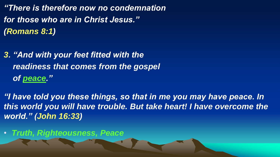*"There is therefore now no condemnation for those who are in Christ Jesus." (Romans 8:1)* 

*3. "And with your feet fitted with the readiness that comes from the gospel of peace."*

*"I have told you these things, so that in me you may have peace. In this world you will have trouble. But take heart! I have overcome the world." (John 16:33)* 

• *Truth, Righteousness, Peace*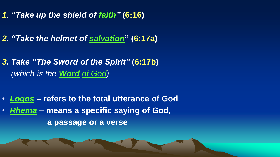- *1. "Take up the shield of faith"* **(6:16)**
- *2. "Take the helmet of salvation***" (6:17a)**
- *3. Take "The Sword of the Spirit"* **(6:17b)** *(which is the Word of God)*
- *Logos* **– refers to the total utterance of God**
- *Rhema* **– means a specific saying of God, a passage or a verse**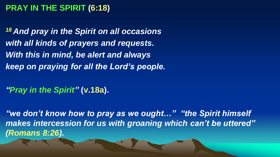#### **PRAY IN THE SPIRIT (6:18)**

*<sup>18</sup> And pray in the Spirit on all occasions with all kinds of prayers and requests. With this in mind, be alert and always keep on praying for all the Lord's people.*

*"Pray in the Spirit"* **(v.18a).**

*"we don't know how to pray as we ought…" "the Spirit himself makes intercession for us with groaning which can't be uttered" (Romans 8:26).*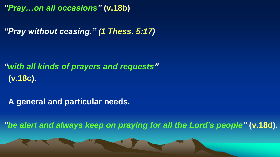*"Pray…on all occasions"* **(v.18b)**

*"Pray without ceasing." (1 Thess. 5:17)*

*"with all kinds of prayers and requests"* **(v.18c).**

**A general and particular needs.** 

*"be alert and always keep on praying for all the Lord's people"* **(v.18d).**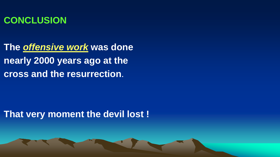

**The** *offensive work* **was done nearly 2000 years ago at the cross and the resurrection**.

**That very moment the devil lost !**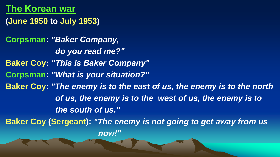### **The Korean war**

**(June 1950 to July 1953)**

**Corpsman:** *"Baker Company, do you read me?"* **Baker Coy:** *"This is Baker Company"*  **Corpsman:** *"What is your situation?"*  **Baker Coy:** *"The enemy is to the east of us, the enemy is to the north of us, the enemy is to the west of us, the enemy is to the south of us."*  **Baker Coy (Sergeant):** *"The enemy is not going to get away from us* 

*now!"*